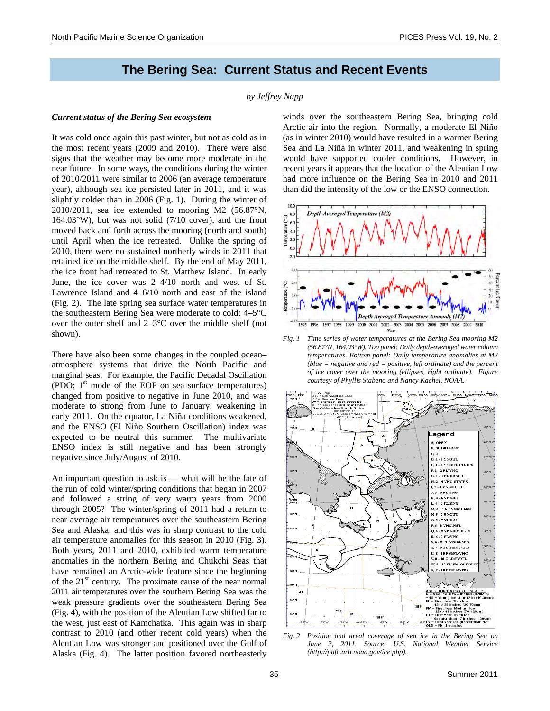# **The Bering Sea: Current Status and Recent Events**

#### *by Jeffrey Napp*

# *Current status of the Bering Sea ecosystem*

It was cold once again this past winter, but not as cold as in the most recent years (2009 and 2010). There were also signs that the weather may become more moderate in the near future. In some ways, the conditions during the winter of 2010/2011 were similar to 2006 (an average temperature year), although sea ice persisted later in 2011, and it was slightly colder than in 2006 (Fig. 1). During the winter of 2010/2011, sea ice extended to mooring M2 (56.87°N,  $164.03^{\circ}$ W), but was not solid (7/10 cover), and the front moved back and forth across the mooring (north and south) until April when the ice retreated. Unlike the spring of 2010, there were no sustained northerly winds in 2011 that retained ice on the middle shelf. By the end of May 2011, the ice front had retreated to St. Matthew Island. In early June, the ice cover was 2–4/10 north and west of St. Lawrence Island and 4–6/10 north and east of the island (Fig. 2). The late spring sea surface water temperatures in the southeastern Bering Sea were moderate to cold: 4–5°C over the outer shelf and 2–3°C over the middle shelf (not shown).

There have also been some changes in the coupled ocean– atmosphere systems that drive the North Pacific and marginal seas. For example, the Pacific Decadal Oscillation (PDO;  $1<sup>st</sup>$  mode of the EOF on sea surface temperatures) changed from positive to negative in June 2010, and was moderate to strong from June to January, weakening in early 2011. On the equator, La Niña conditions weakened, and the ENSO (El Niño Southern Oscillation) index was expected to be neutral this summer. The multivariate ENSO index is still negative and has been strongly negative since July/August of 2010.

An important question to ask is — what will be the fate of the run of cold winter/spring conditions that began in 2007 and followed a string of very warm years from 2000 through 2005? The winter/spring of 2011 had a return to near average air temperatures over the southeastern Bering Sea and Alaska, and this was in sharp contrast to the cold air temperature anomalies for this season in 2010 (Fig. 3). Both years, 2011 and 2010, exhibited warm temperature anomalies in the northern Bering and Chukchi Seas that have remained an Arctic-wide feature since the beginning of the  $21<sup>st</sup>$  century. The proximate cause of the near normal 2011 air temperatures over the southern Bering Sea was the weak pressure gradients over the southeastern Bering Sea (Fig. 4), with the position of the Aleutian Low shifted far to the west, just east of Kamchatka. This again was in sharp contrast to 2010 (and other recent cold years) when the Aleutian Low was stronger and positioned over the Gulf of Alaska (Fig. 4). The latter position favored northeasterly

winds over the southeastern Bering Sea, bringing cold Arctic air into the region. Normally, a moderate El Niño (as in winter 2010) would have resulted in a warmer Bering Sea and La Niña in winter 2011, and weakening in spring would have supported cooler conditions. However, in recent years it appears that the location of the Aleutian Low had more influence on the Bering Sea in 2010 and 2011 than did the intensity of the low or the ENSO connection.



*Fig. 1 Time series of water temperatures at the Bering Sea mooring M2 (56.87°N, 164.03°W). Top panel: Daily depth-averaged water column temperatures. Bottom panel: Daily temperature anomalies at M2 (blue = negative and red = positive, left ordinate) and the percent of ice cover over the mooring (ellipses, right ordinate). Figure courtesy of Phyllis Stabeno and Nancy Kachel, NOAA.* 



*Fig. 2 Position and areal coverage of sea ice in the Bering Sea on June 2, 2011. Source: U.S. National Weather Service (http://pafc.arh.noaa.gov/ice.php).*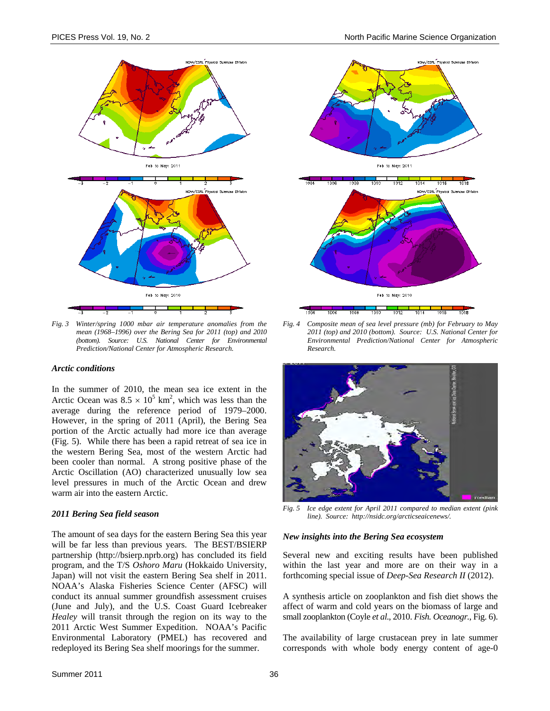

*Fig. 3 Winter/spring 1000 mbar air temperature anomalies from the mean (1968–1996) over the Bering Sea for 2011 (top) and 2010 (bottom). Source: U.S. National Center for Environmental Prediction/National Center for Atmospheric Research.* 

#### *Arctic conditions*

In the summer of 2010, the mean sea ice extent in the Arctic Ocean was  $8.5 \times 10^5$  km<sup>2</sup>, which was less than the average during the reference period of 1979–2000. However, in the spring of 2011 (April), the Bering Sea portion of the Arctic actually had more ice than average (Fig. 5). While there has been a rapid retreat of sea ice in the western Bering Sea, most of the western Arctic had been cooler than normal. A strong positive phase of the Arctic Oscillation (AO) characterized unusually low sea level pressures in much of the Arctic Ocean and drew warm air into the eastern Arctic.

## *2011 Bering Sea field season*

The amount of sea days for the eastern Bering Sea this year will be far less than previous years. The BEST/BSIERP partnership (http://bsierp.nprb.org) has concluded its field program, and the T/S *Oshoro Maru* (Hokkaido University, Japan) will not visit the eastern Bering Sea shelf in 2011. NOAA's Alaska Fisheries Science Center (AFSC) will conduct its annual summer groundfish assessment cruises (June and July), and the U.S. Coast Guard Icebreaker *Healey* will transit through the region on its way to the 2011 Arctic West Summer Expedition. NOAA's Pacific Environmental Laboratory (PMEL) has recovered and redeployed its Bering Sea shelf moorings for the summer.



*Fig. 4 Composite mean of sea level pressure (mb) for February to May 2011 (top) and 2010 (bottom). Source: U.S. National Center for Environmental Prediction/National Center for Atmospheric Research.* 



*Fig. 5 Ice edge extent for April 2011 compared to median extent (pink line). Source: http://nsidc.org/arcticseaicenews/.* 

#### *New insights into the Bering Sea ecosystem*

Several new and exciting results have been published within the last year and more are on their way in a forthcoming special issue of *Deep-Sea Research II* (2012).

A synthesis article on zooplankton and fish diet shows the affect of warm and cold years on the biomass of large and small zooplankton (Coyle *et al*., 2010. *Fish. Oceanogr.*, Fig. 6).

The availability of large crustacean prey in late summer corresponds with whole body energy content of age-0